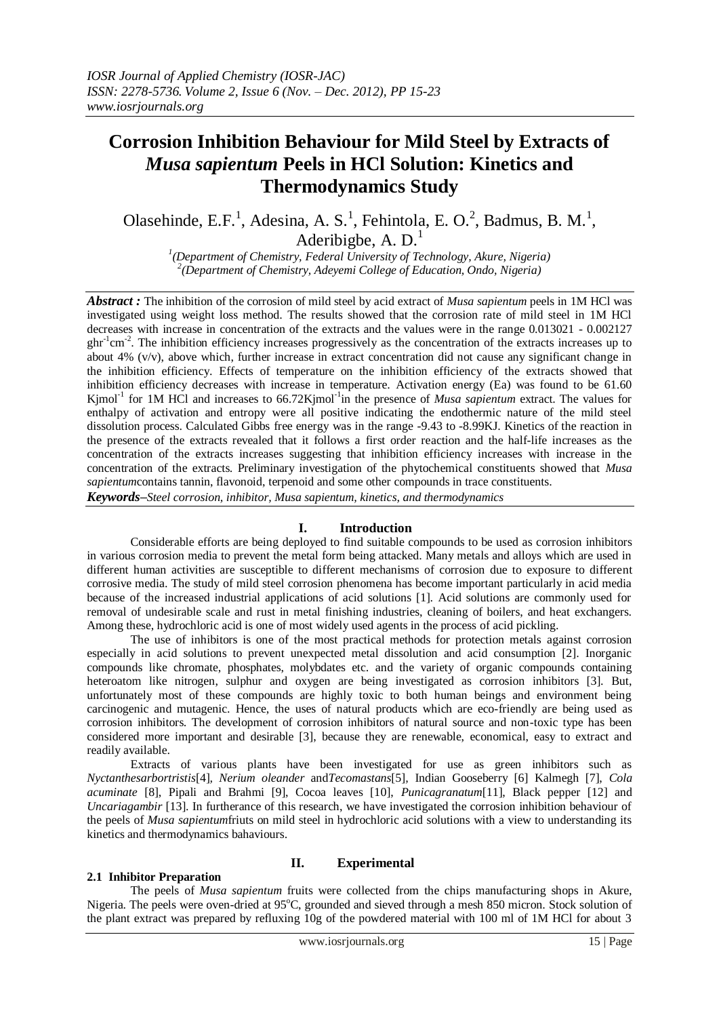# **Corrosion Inhibition Behaviour for Mild Steel by Extracts of**  *Musa sapientum* **Peels in HCl Solution: Kinetics and Thermodynamics Study**

Olasehinde, E.F.<sup>1</sup>, Adesina, A. S.<sup>1</sup>, Fehintola, E. O.<sup>2</sup>, Badmus, B. M.<sup>1</sup>, Aderibigbe, A.  $D<sup>1</sup>$ 

*1 (Department of Chemistry, Federal University of Technology, Akure, Nigeria) 2 (Department of Chemistry, Adeyemi College of Education, Ondo, Nigeria)*

*Abstract :* The inhibition of the corrosion of mild steel by acid extract of *Musa sapientum* peels in 1M HCl was investigated using weight loss method. The results showed that the corrosion rate of mild steel in 1M HCl decreases with increase in concentration of the extracts and the values were in the range 0.013021 - 0.002127  $ghr<sup>-1</sup>cm<sup>-2</sup>$ . The inhibition efficiency increases progressively as the concentration of the extracts increases up to about 4% (v/v), above which, further increase in extract concentration did not cause any significant change in the inhibition efficiency. Effects of temperature on the inhibition efficiency of the extracts showed that inhibition efficiency decreases with increase in temperature. Activation energy (Ea) was found to be 61.60 Kjmol<sup>-1</sup> for 1M HCl and increases to 66.72Kjmol<sup>-1</sup>in the presence of *Musa sapientum* extract. The values for enthalpy of activation and entropy were all positive indicating the endothermic nature of the mild steel dissolution process. Calculated Gibbs free energy was in the range -9.43 to -8.99KJ. Kinetics of the reaction in the presence of the extracts revealed that it follows a first order reaction and the half-life increases as the concentration of the extracts increases suggesting that inhibition efficiency increases with increase in the concentration of the extracts. Preliminary investigation of the phytochemical constituents showed that *Musa sapientum*contains tannin, flavonoid, terpenoid and some other compounds in trace constituents.

*Keywords–Steel corrosion, inhibitor, Musa sapientum, kinetics, and thermodynamics*

# **I. Introduction**

Considerable efforts are being deployed to find suitable compounds to be used as corrosion inhibitors in various corrosion media to prevent the metal form being attacked. Many metals and alloys which are used in different human activities are susceptible to different mechanisms of corrosion due to exposure to different corrosive media. The study of mild steel corrosion phenomena has become important particularly in acid media because of the increased industrial applications of acid solutions [1]. Acid solutions are commonly used for removal of undesirable scale and rust in metal finishing industries, cleaning of boilers, and heat exchangers. Among these, hydrochloric acid is one of most widely used agents in the process of acid pickling.

The use of inhibitors is one of the most practical methods for protection metals against corrosion especially in acid solutions to prevent unexpected metal dissolution and acid consumption [2]. Inorganic compounds like chromate, phosphates, molybdates etc. and the variety of organic compounds containing heteroatom like nitrogen, sulphur and oxygen are being investigated as corrosion inhibitors [3]. But, unfortunately most of these compounds are highly toxic to both human beings and environment being carcinogenic and mutagenic. Hence, the uses of natural products which are eco-friendly are being used as corrosion inhibitors. The development of corrosion inhibitors of natural source and non-toxic type has been considered more important and desirable [3], because they are renewable, economical, easy to extract and readily available.

Extracts of various plants have been investigated for use as green inhibitors such as *Nyctanthesarbortristis*[4]*, Nerium oleander* and*Tecomastans*[5]*,* Indian Gooseberry [6] Kalmegh [7], *Cola acuminate* [8], Pipali and Brahmi [9], Cocoa leaves [10], *Punicagranatum*[11], Black pepper [12] and *Uncariagambir* [13]. In furtherance of this research, we have investigated the corrosion inhibition behaviour of the peels of *Musa sapientum*friuts on mild steel in hydrochloric acid solutions with a view to understanding its kinetics and thermodynamics bahaviours.

## **2.1 Inhibitor Preparation**

# **II. Experimental**

The peels of *Musa sapientum* fruits were collected from the chips manufacturing shops in Akure, Nigeria. The peels were oven-dried at 95°C, grounded and sieved through a mesh 850 micron. Stock solution of the plant extract was prepared by refluxing 10g of the powdered material with 100 ml of 1M HCl for about 3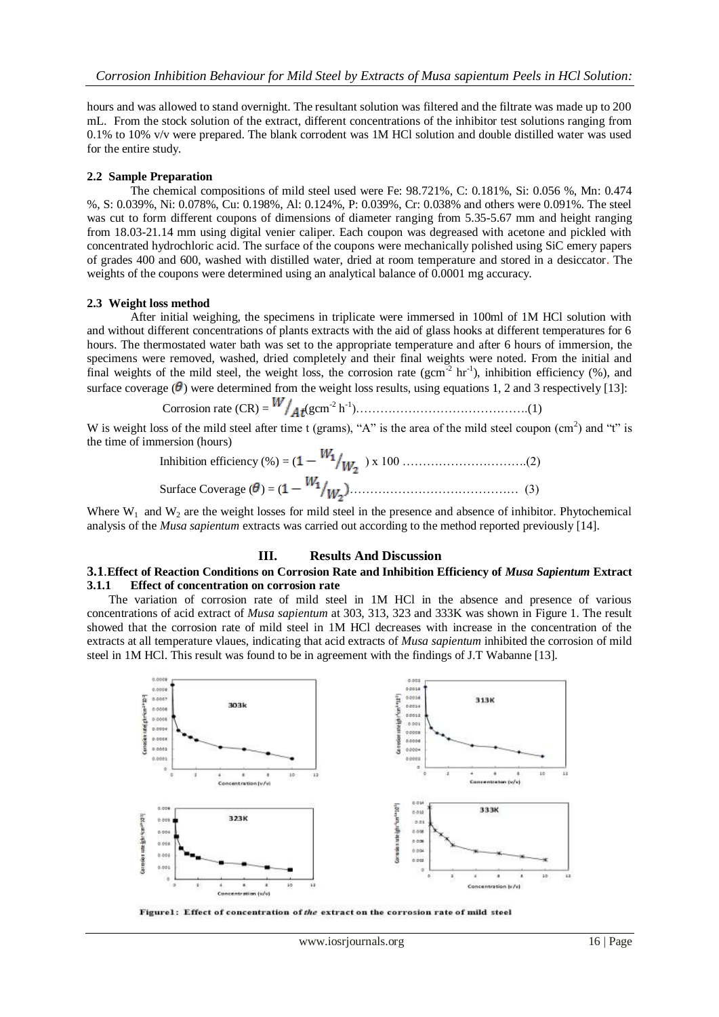hours and was allowed to stand overnight. The resultant solution was filtered and the filtrate was made up to 200 mL. From the stock solution of the extract, different concentrations of the inhibitor test solutions ranging from 0.1% to 10% v/v were prepared. The blank corrodent was 1M HCl solution and double distilled water was used for the entire study.

#### **2.2 Sample Preparation**

The chemical compositions of mild steel used were Fe: 98.721%, C: 0.181%, Si: 0.056 %, Mn: 0.474 %, S: 0.039%, Ni: 0.078%, Cu: 0.198%, Al: 0.124%, P: 0.039%, Cr: 0.038% and others were 0.091%. The steel was cut to form different coupons of dimensions of diameter ranging from 5.35-5.67 mm and height ranging from 18.03-21.14 mm using digital venier caliper. Each coupon was degreased with acetone and pickled with concentrated hydrochloric acid. The surface of the coupons were mechanically polished using SiC emery papers of grades 400 and 600, washed with distilled water, dried at room temperature and stored in a desiccator. The weights of the coupons were determined using an analytical balance of 0.0001 mg accuracy.

#### **2.3 Weight loss method**

After initial weighing, the specimens in triplicate were immersed in 100ml of 1M HCl solution with and without different concentrations of plants extracts with the aid of glass hooks at different temperatures for 6 hours. The thermostated water bath was set to the appropriate temperature and after 6 hours of immersion, the specimens were removed, washed, dried completely and their final weights were noted. From the initial and final weights of the mild steel, the weight loss, the corrosion rate  $(gcm^{-2} hr^{-1})$ , inhibition efficiency (%), and surface coverage ( $\theta$ ) were determined from the weight loss results, using equations 1, 2 and 3 respectively [13]:

Corrosion rate (CR) = 
$$
W/_{At}(\text{gcm}^{-2} \text{h}^{-1})
$$
.................(1)

W is weight loss of the mild steel after time t (grams), "A" is the area of the mild steel coupon  $(cm<sup>2</sup>)$  and "t" is the time of immersion (hours)

Inhibition efficiency (%) = 
$$
(1 - \frac{W_1}{W_2}) \times 100
$$
.................(2)  
Surface Coverage ( $\theta$ ) =  $(1 - \frac{W_1}{W_2})$ .................(3)

Where  $W_1$  and  $W_2$  are the weight losses for mild steel in the presence and absence of inhibitor. Phytochemical analysis of the *Musa sapientum* extracts was carried out according to the method reported previously [14].

## **III. Results And Discussion**

#### **3.1**.**Effect of Reaction Conditions on Corrosion Rate and Inhibition Efficiency of** *Musa Sapientum* **Extract 3.1.1 Effect of concentration on corrosion rate**

The variation of corrosion rate of mild steel in 1M HCl in the absence and presence of various concentrations of acid extract of *Musa sapientum* at 303, 313, 323 and 333K was shown in Figure 1. The result showed that the corrosion rate of mild steel in 1M HCl decreases with increase in the concentration of the extracts at all temperature vlaues, indicating that acid extracts of *Musa sapientum* inhibited the corrosion of mild steel in 1M HCl. This result was found to be in agreement with the findings of J.T Wabanne [13].



Figure1: Effect of concentration of the extract on the corrosion rate of mild steel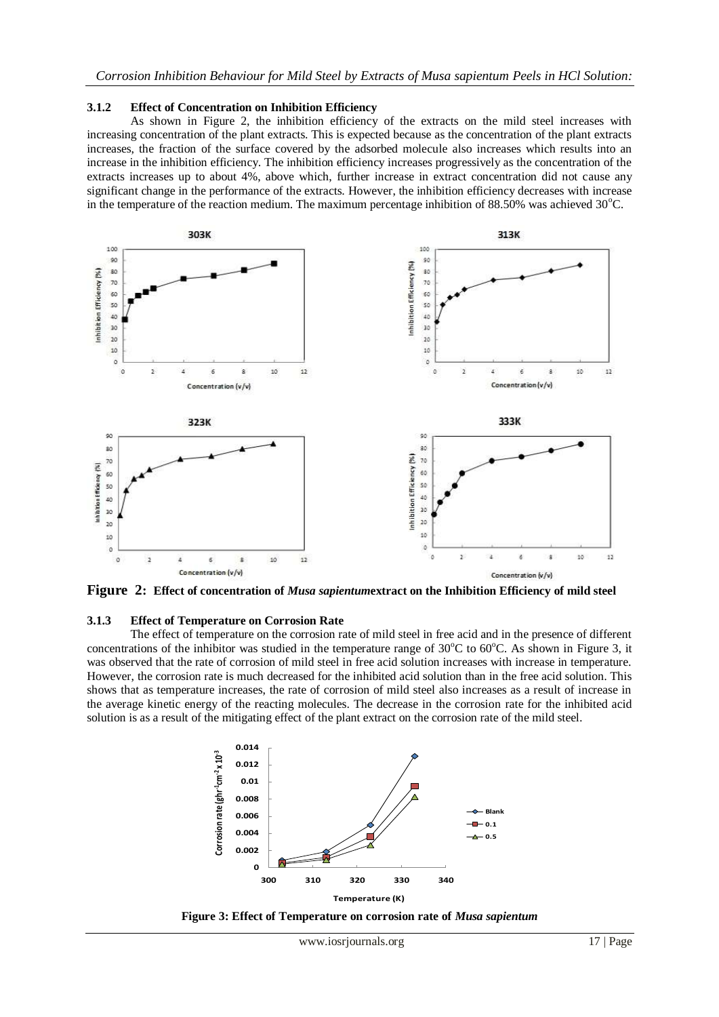#### **3.1.2 Effect of Concentration on Inhibition Efficiency**

As shown in Figure 2, the inhibition efficiency of the extracts on the mild steel increases with increasing concentration of the plant extracts. This is expected because as the concentration of the plant extracts increases, the fraction of the surface covered by the adsorbed molecule also increases which results into an increase in the inhibition efficiency. The inhibition efficiency increases progressively as the concentration of the extracts increases up to about 4%, above which, further increase in extract concentration did not cause any significant change in the performance of the extracts. However, the inhibition efficiency decreases with increase in the temperature of the reaction medium. The maximum percentage inhibition of 88.50% was achieved  $30^{\circ}$ C.



**Figure 2: Effect of concentration of** *Musa sapientum***extract on the Inhibition Efficiency of mild steel**

#### **3.1.3 Effect of Temperature on Corrosion Rate**

The effect of temperature on the corrosion rate of mild steel in free acid and in the presence of different concentrations of the inhibitor was studied in the temperature range of  $30^{\circ}$ C to  $60^{\circ}$ C. As shown in Figure 3, it was observed that the rate of corrosion of mild steel in free acid solution increases with increase in temperature. However, the corrosion rate is much decreased for the inhibited acid solution than in the free acid solution. This shows that as temperature increases, the rate of corrosion of mild steel also increases as a result of increase in the average kinetic energy of the reacting molecules. The decrease in the corrosion rate for the inhibited acid solution is as a result of the mitigating effect of the plant extract on the corrosion rate of the mild steel.



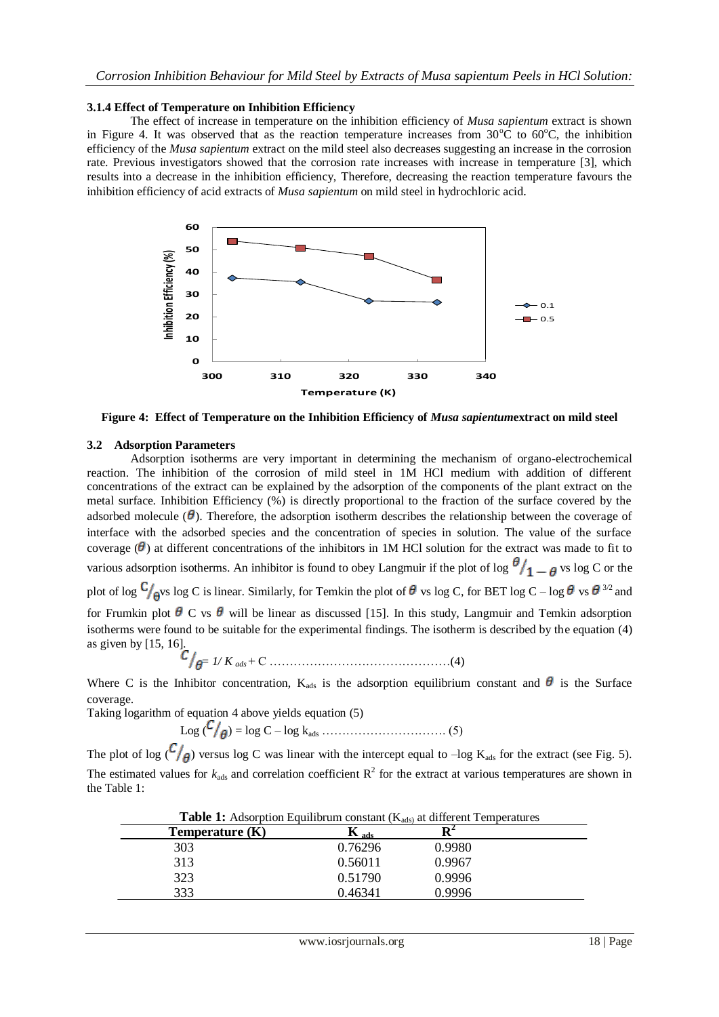## **3.1.4 Effect of Temperature on Inhibition Efficiency**

The effect of increase in temperature on the inhibition efficiency of *Musa sapientum* extract is shown in Figure 4. It was observed that as the reaction temperature increases from  $30^{\circ}$ C to  $60^{\circ}$ C, the inhibition efficiency of the *Musa sapientum* extract on the mild steel also decreases suggesting an increase in the corrosion rate. Previous investigators showed that the corrosion rate increases with increase in temperature [3], which results into a decrease in the inhibition efficiency, Therefore, decreasing the reaction temperature favours the inhibition efficiency of acid extracts of *Musa sapientum* on mild steel in hydrochloric acid.



**Figure 4: Effect of Temperature on the Inhibition Efficiency of** *Musa sapientum***extract on mild steel**

## **3.2 Adsorption Parameters**

Adsorption isotherms are very important in determining the mechanism of organo-electrochemical reaction. The inhibition of the corrosion of mild steel in 1M HCl medium with addition of different concentrations of the extract can be explained by the adsorption of the components of the plant extract on the metal surface. Inhibition Efficiency (%) is directly proportional to the fraction of the surface covered by the adsorbed molecule  $(\theta)$ . Therefore, the adsorption isotherm describes the relationship between the coverage of interface with the adsorbed species and the concentration of species in solution. The value of the surface coverage  $(\theta)$  at different concentrations of the inhibitors in 1M HCl solution for the extract was made to fit to various adsorption isotherms. An inhibitor is found to obey Langmuir if the plot of log  $\frac{\theta}{1-\theta}$  vs log C or the plot of log  $C_{\text{g}}$  vs log C is linear. Similarly, for Temkin the plot of  $\theta$  vs log C, for BET log C – log  $\theta$  vs  $\theta$  <sup>3/2</sup> and for Frumkin plot  $\theta$  C vs  $\theta$  will be linear as discussed [15]. In this study, Langmuir and Temkin adsorption isotherms were found to be suitable for the experimental findings. The isotherm is described by the equation (4) as given by [15, 16].

= *1/ K ads* + C ………………………………………(4)

Where C is the Inhibitor concentration,  $K_{ads}$  is the adsorption equilibrium constant and  $\theta$  is the Surface coverage.

Taking logarithm of equation 4 above yields equation (5)

Log ( ) = log C – log kads …………………………. (5)

The plot of log  $\binom{C}{\theta}$  versus log C was linear with the intercept equal to –log K<sub>ads</sub> for the extract (see Fig. 5). The estimated values for  $k_{ads}$  and correlation coefficient  $R^2$  for the extract at various temperatures are shown in the Table 1:

| <b>Table 1:</b> Adsorption Equilibrum constant $(K_{ads})$ at different Temperatures |                  |        |  |
|--------------------------------------------------------------------------------------|------------------|--------|--|
| Temperature $(K)$                                                                    | $\mathbf{K}$ ads | Dʻ     |  |
| 303                                                                                  | 0.76296          | 0.9980 |  |
| 313                                                                                  | 0.56011          | 0.9967 |  |
| 323                                                                                  | 0.51790          | 0.9996 |  |
| 333                                                                                  | 0.46341          | 0.9996 |  |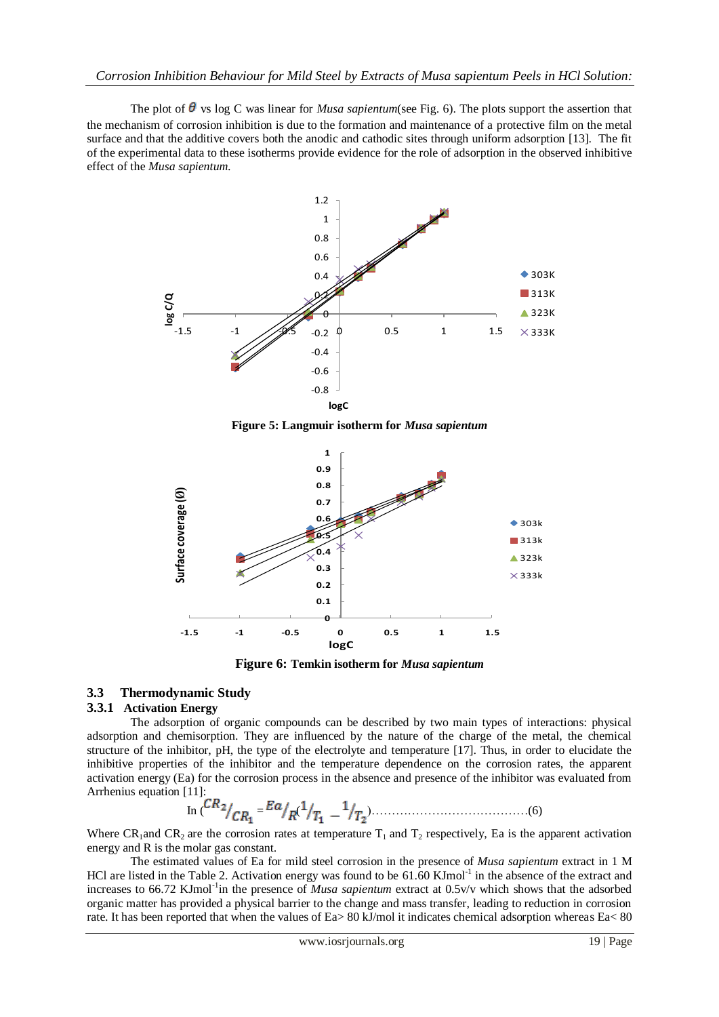The plot of  $\theta$  vs log C was linear for *Musa sapientum*(see Fig. 6). The plots support the assertion that the mechanism of corrosion inhibition is due to the formation and maintenance of a protective film on the metal surface and that the additive covers both the anodic and cathodic sites through uniform adsorption [13]. The fit of the experimental data to these isotherms provide evidence for the role of adsorption in the observed inhibitive effect of the *Musa sapientum*.



**Figure 5: Langmuir isotherm for** *Musa sapientum*



**Figure 6: Temkin isotherm for** *Musa sapientum*

# **3.3 Thermodynamic Study**

## **3.3.1 Activation Energy**

The adsorption of organic compounds can be described by two main types of interactions: physical adsorption and chemisorption. They are influenced by the nature of the charge of the metal, the chemical structure of the inhibitor, pH, the type of the electrolyte and temperature [17]. Thus, in order to elucidate the inhibitive properties of the inhibitor and the temperature dependence on the corrosion rates, the apparent activation energy (Ea) for the corrosion process in the absence and presence of the inhibitor was evaluated from Arrhenius equation [11]:

In ( = ( )…………………………………(6)

Where CR<sub>1</sub>and CR<sub>2</sub> are the corrosion rates at temperature  $T_1$  and  $T_2$  respectively, Ea is the apparent activation energy and R is the molar gas constant.

The estimated values of Ea for mild steel corrosion in the presence of *Musa sapientum* extract in 1 M HCl are listed in the Table 2. Activation energy was found to be 61.60 KJmol<sup>-1</sup> in the absence of the extract and increases to 66.72 KJmol<sup>-1</sup>in the presence of *Musa sapientum* extract at 0.5v/v which shows that the adsorbed organic matter has provided a physical barrier to the change and mass transfer, leading to reduction in corrosion rate. It has been reported that when the values of Ea> 80 kJ/mol it indicates chemical adsorption whereas Ea< 80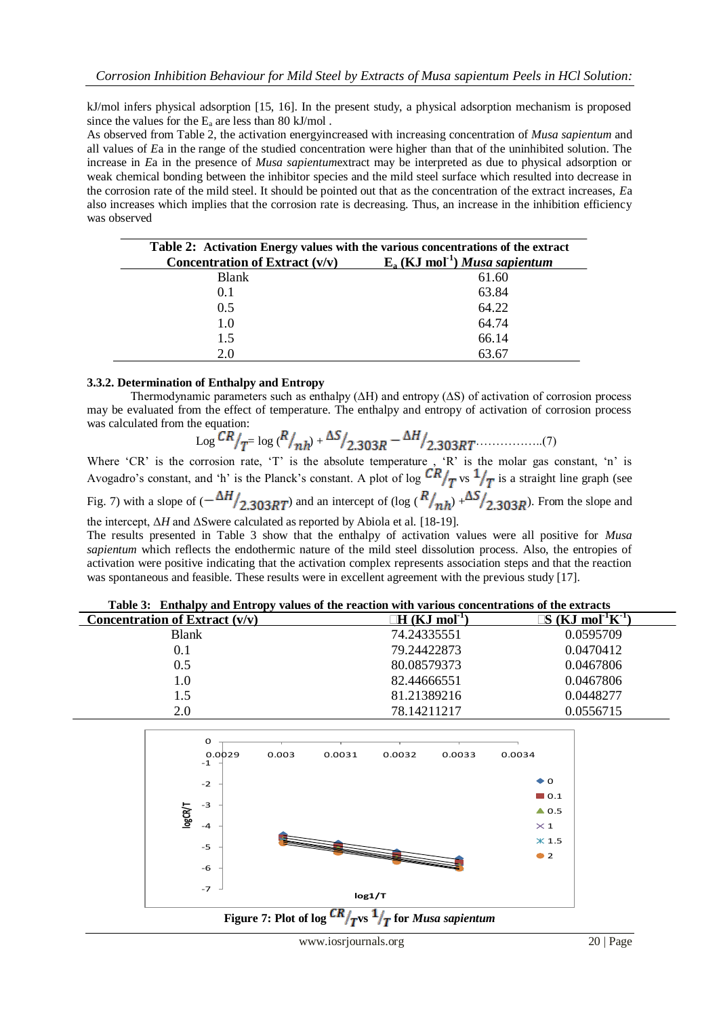kJ/mol infers physical adsorption [15, 16]. In the present study, a physical adsorption mechanism is proposed since the values for the  $E_a$  are less than 80 kJ/mol.

As observed from Table 2, the activation energyincreased with increasing concentration of *Musa sapientum* and all values of *E*a in the range of the studied concentration were higher than that of the uninhibited solution. The increase in *E*a in the presence of *Musa sapientum*extract may be interpreted as due to physical adsorption or weak chemical bonding between the inhibitor species and the mild steel surface which resulted into decrease in the corrosion rate of the mild steel. It should be pointed out that as the concentration of the extract increases, *E*a also increases which implies that the corrosion rate is decreasing. Thus, an increase in the inhibition efficiency was observed

| Table 2: Activation Energy values with the various concentrations of the extract |                                              |  |
|----------------------------------------------------------------------------------|----------------------------------------------|--|
| Concentration of Extract $(v/v)$                                                 | $E_a$ (KJ mol <sup>-1</sup> ) Musa sapientum |  |
| <b>Blank</b>                                                                     | 61.60                                        |  |
| 0.1                                                                              | 63.84                                        |  |
| 0.5                                                                              | 64.22                                        |  |
| 1.0                                                                              | 64.74                                        |  |
| 1.5                                                                              | 66.14                                        |  |
| 2.0                                                                              | 63.67                                        |  |

## **3.3.2. Determination of Enthalpy and Entropy**

Thermodynamic parameters such as enthalpy (∆H) and entropy (∆S) of activation of corrosion process may be evaluated from the effect of temperature. The enthalpy and entropy of activation of corrosion process was calculated from the equation:

$$
\log \frac{CR}{T} = \log \frac{R}{nh} + \frac{\Delta S}{2.303R} - \frac{\Delta H}{2.303RT}
$$
 (7)

Where 'CR' is the corrosion rate, 'T' is the absolute temperature  $\frac{1}{2}$  'R' is the molar gas constant, 'n' is Avogadro's constant, and 'h' is the Planck's constant. A plot of log  $\frac{CR}{T}$  is a straight line graph (see Fig. 7) with a slope of  $(-\frac{\Delta H}{2.303RT})$  and an intercept of (log  $(R/_{nh}) + \frac{\Delta S}{2.303R}$ ). From the slope and the intercept, Δ*H* and ΔSwere calculated as reported by Abiola et al. [18-19].

The results presented in Table 3 show that the enthalpy of activation values were all positive for *Musa sapientum* which reflects the endothermic nature of the mild steel dissolution process. Also, the entropies of activation were positive indicating that the activation complex represents association steps and that the reaction was spontaneous and feasible. These results were in excellent agreement with the previous study [17].

|  | Table 3: Enthalpy and Entropy values of the reaction with various concentrations of the extracts |  |  |  |
|--|--------------------------------------------------------------------------------------------------|--|--|--|
|  |                                                                                                  |  |  |  |

| Table 5. Enthalpy and Entropy values of the reaction with various concentrations of the extracts |                                  |                                             |
|--------------------------------------------------------------------------------------------------|----------------------------------|---------------------------------------------|
| Concentration of Extract $(v/v)$                                                                 | $\Box H$ (KJ mol <sup>-1</sup> ) | $S$ (KJ mol <sup>-1</sup> K <sup>-1</sup> ) |
| <b>Blank</b>                                                                                     | 74.24335551                      | 0.0595709                                   |
| 0.1                                                                                              | 79.24422873                      | 0.0470412                                   |
| 0.5                                                                                              | 80.08579373                      | 0.0467806                                   |
| $1.0\,$                                                                                          | 82.44666551                      | 0.0467806                                   |
| 1.5                                                                                              | 81.21389216                      | 0.0448277                                   |
| 2.0                                                                                              | 78.14211217                      | 0.0556715                                   |

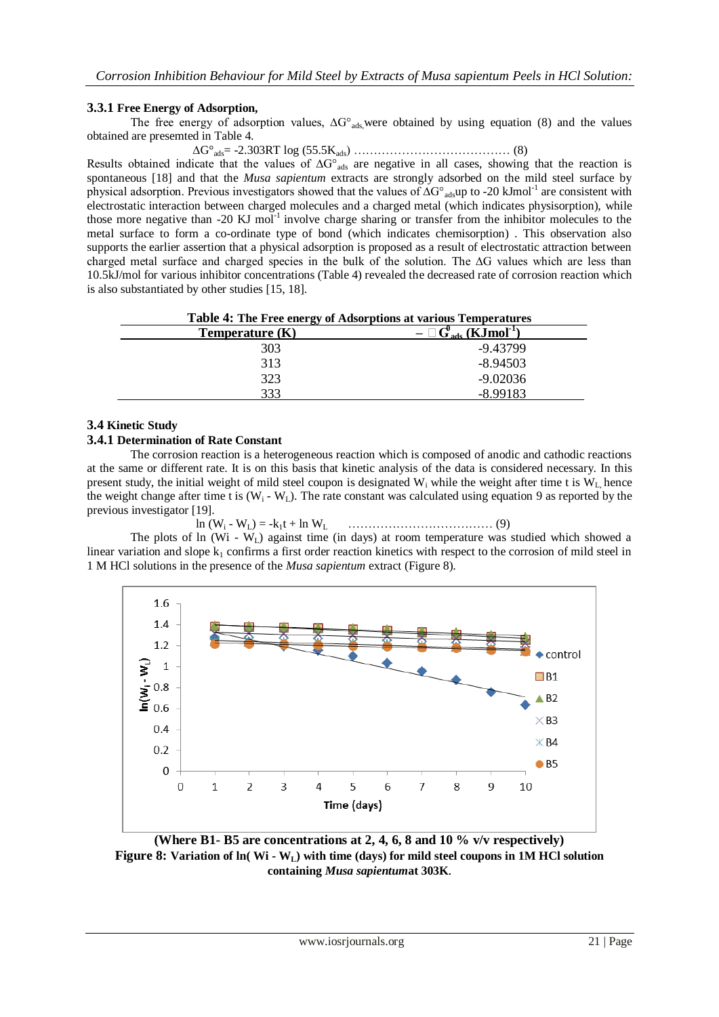# **3.3.1 Free Energy of Adsorption,**

The free energy of adsorption values,  $ΔG<sup>o</sup><sub>ads</sub>$ ,were obtained by using equation (8) and the values obtained are presemted in Table 4.

∆G°ads= -2.303RT log (55.5Kads) ………………………………… (8)

Results obtained indicate that the values of ∆G°<sub>ads</sub> are negative in all cases, showing that the reaction is spontaneous [18] and that the *Musa sapientum* extracts are strongly adsorbed on the mild steel surface by physical adsorption. Previous investigators showed that the values of ∆G°<sub>ads</sub>up to -20 kJmol<sup>-1</sup> are consistent with electrostatic interaction between charged molecules and a charged metal (which indicates physisorption), while those more negative than  $-20 \text{ KJ}$  mol<sup>-1</sup> involve charge sharing or transfer from the inhibitor molecules to the metal surface to form a co-ordinate type of bond (which indicates chemisorption) . This observation also supports the earlier assertion that a physical adsorption is proposed as a result of electrostatic attraction between charged metal surface and charged species in the bulk of the solution. The ∆G values which are less than 10.5kJ/mol for various inhibitor concentrations (Table 4) revealed the decreased rate of corrosion reaction which is also substantiated by other studies [15, 18].

| Table 4: The Free energy of Adsorptions at various Temperatures |                                                   |  |
|-----------------------------------------------------------------|---------------------------------------------------|--|
| Temperature $(K)$                                               | $- \Box$ G' <sub>ads</sub> (KJmol <sup>-1</sup> ) |  |
| 303                                                             | $-9.43799$                                        |  |
| 313                                                             | $-8.94503$                                        |  |
| 323                                                             | $-9.02036$                                        |  |
| 333                                                             | $-8.99183$                                        |  |

# **3.4 Kinetic Study**

# **3.4.1 Determination of Rate Constant**

The corrosion reaction is a heterogeneous reaction which is composed of anodic and cathodic reactions at the same or different rate. It is on this basis that kinetic analysis of the data is considered necessary. In this present study, the initial weight of mild steel coupon is designated  $W_i$  while the weight after time t is  $W_L$  hence the weight change after time t is  $(W_i - W_l)$ . The rate constant was calculated using equation 9 as reported by the previous investigator [19].

ln (W<sup>i</sup> - WL) = -k1t + ln W<sup>L</sup> ……………………………… (9)

The plots of ln (Wi - W<sub>L</sub>) against time (in days) at room temperature was studied which showed a linear variation and slope  $k_1$  confirms a first order reaction kinetics with respect to the corrosion of mild steel in 1 M HCl solutions in the presence of the *Musa sapientum* extract (Figure 8).



**(Where B1- B5 are concentrations at 2, 4, 6, 8 and 10 % v/v respectively) Figure 8: Variation of ln( Wi - WL) with time (days) for mild steel coupons in 1M HCl solution containing** *Musa sapientum***at 303K**.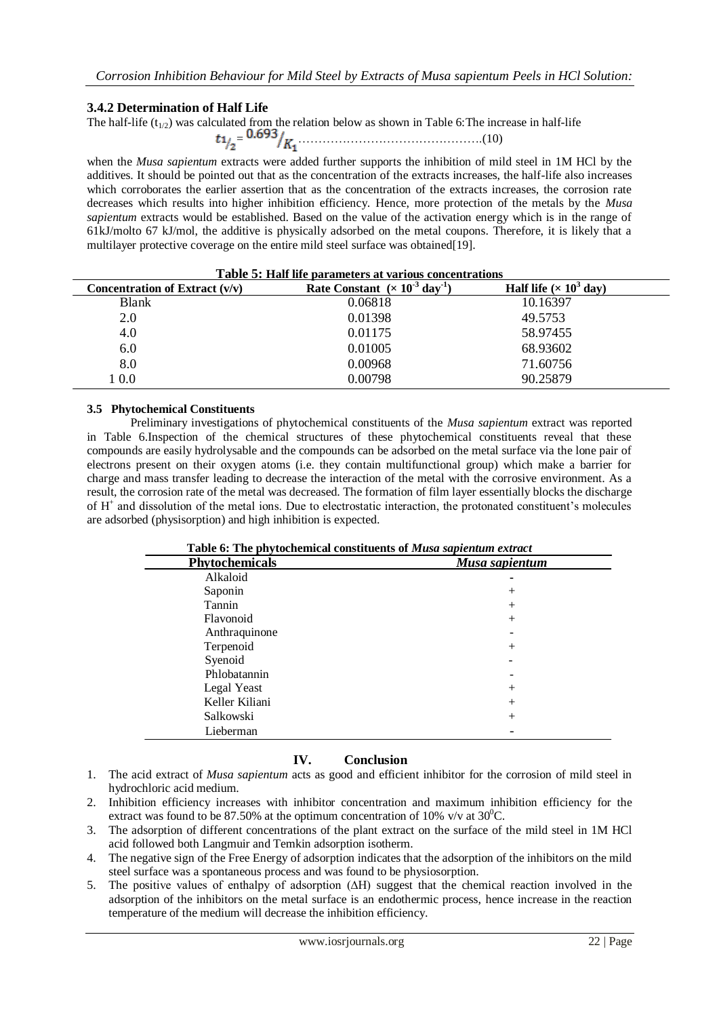# **3.4.2 Determination of Half Life**

The half-life  $(t_{1/2})$  was calculated from the relation below as shown in Table 6: The increase in half-life = ……………………………………….(10)

when the *Musa sapientum* extracts were added further supports the inhibition of mild steel in 1M HCl by the additives. It should be pointed out that as the concentration of the extracts increases, the half-life also increases which corroborates the earlier assertion that as the concentration of the extracts increases, the corrosion rate decreases which results into higher inhibition efficiency. Hence, more protection of the metals by the *Musa sapientum* extracts would be established. Based on the value of the activation energy which is in the range of 61kJ/molto 67 kJ/mol, the additive is physically adsorbed on the metal coupons. Therefore, it is likely that a multilayer protective coverage on the entire mild steel surface was obtained[19].

| Table 5: Half life parameters at various concentrations |                                            |                                           |  |
|---------------------------------------------------------|--------------------------------------------|-------------------------------------------|--|
| Concentration of Extract $(v/v)$                        | Rate Constant $(x 10^3$ day <sup>1</sup> ) | Half life ( $\times$ 10 <sup>3</sup> day) |  |
| <b>Blank</b>                                            | 0.06818                                    | 10.16397                                  |  |
| 2.0                                                     | 0.01398                                    | 49.5753                                   |  |
| 4.0                                                     | 0.01175                                    | 58.97455                                  |  |
| 6.0                                                     | 0.01005                                    | 68.93602                                  |  |
| 8.0                                                     | 0.00968                                    | 71.60756                                  |  |
| $1\ 0.0$                                                | 0.00798                                    | 90.25879                                  |  |

## **3.5 Phytochemical Constituents**

Preliminary investigations of phytochemical constituents of the *Musa sapientum* extract was reported in Table 6.Inspection of the chemical structures of these phytochemical constituents reveal that these compounds are easily hydrolysable and the compounds can be adsorbed on the metal surface via the lone pair of electrons present on their oxygen atoms (i.e. they contain multifunctional group) which make a barrier for charge and mass transfer leading to decrease the interaction of the metal with the corrosive environment. As a result, the corrosion rate of the metal was decreased. The formation of film layer essentially blocks the discharge of H<sup>+</sup> and dissolution of the metal ions. Due to electrostatic interaction, the protonated constituent's molecules are adsorbed (physisorption) and high inhibition is expected.

|                       | Table 6: The phytochemical constituents of <i>Musa sapientum extract</i> |  |  |
|-----------------------|--------------------------------------------------------------------------|--|--|
| <b>Phytochemicals</b> | Musa sapientum                                                           |  |  |
| Alkaloid              |                                                                          |  |  |
| Saponin               | $^+$                                                                     |  |  |
| Tannin                | $^+$                                                                     |  |  |
| Flavonoid             | $\pm$                                                                    |  |  |
| Anthraquinone         |                                                                          |  |  |
| Terpenoid             | $^+$                                                                     |  |  |
| Syenoid               |                                                                          |  |  |
| Phlobatannin          |                                                                          |  |  |
| Legal Yeast           | $\pm$                                                                    |  |  |
| Keller Kiliani        | $\pm$                                                                    |  |  |
| Salkowski             | $^+$                                                                     |  |  |
| Lieberman             |                                                                          |  |  |

## **Table 6: The phytochemical constituents of** *Musa sapientum extract*

# **IV. Conclusion**

- 1. The acid extract of *Musa sapientum* acts as good and efficient inhibitor for the corrosion of mild steel in hydrochloric acid medium.
- 2. Inhibition efficiency increases with inhibitor concentration and maximum inhibition efficiency for the extract was found to be 87.50% at the optimum concentration of 10% v/v at  $30^{\circ}$ C.
- 3. The adsorption of different concentrations of the plant extract on the surface of the mild steel in 1M HCl acid followed both Langmuir and Temkin adsorption isotherm.
- 4. The negative sign of the Free Energy of adsorption indicates that the adsorption of the inhibitors on the mild steel surface was a spontaneous process and was found to be physiosorption.
- 5. The positive values of enthalpy of adsorption (∆H) suggest that the chemical reaction involved in the adsorption of the inhibitors on the metal surface is an endothermic process, hence increase in the reaction temperature of the medium will decrease the inhibition efficiency.